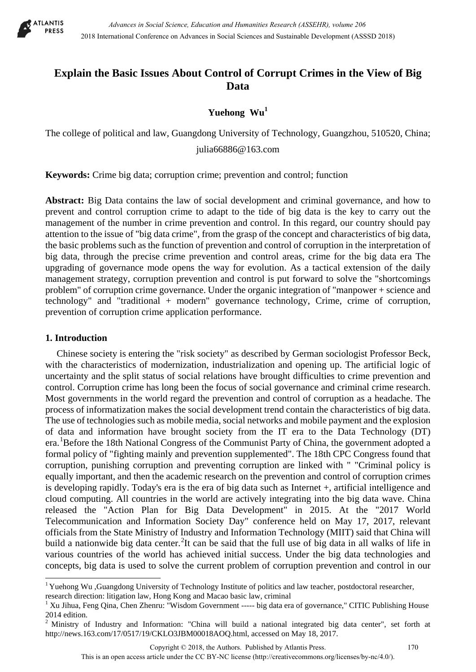

# **Explain the Basic Issues About Control of Corrupt Crimes in the View of Big Data**

# Yuehong Wu<sup>1</sup>

The college of political and law, Guangdong University of Technology, Guangzhou, 510520, China;

[julia66886@163.com](mailto:julia66886@163.com)

**Keywords:** Crime big data; corruption crime; prevention and control; function

Abstract: Big Data contains the law of social development and criminal governance, and how to prevent and control corruption crime to adapt to the tide of big data is the key to carry out the management of the number in crime prevention and control. In this regard, our country should pay attention to the issue of "big data crime", from the grasp of the concept and characteristics of big data, the basic problems such as the function of prevention and control of corruption in the interpretation of big data, through the precise crime prevention and control areas, crime for the big data era The upgrading of governance mode opens the way for evolution. As a tactical extension of the daily management strategy, corruption prevention and control is put forward to solve the "shortcomings problem" of corruption crime governance. Under the organic integration of "manpower + science and technology" and "traditional + modern" governance technology, Crime, crime of corruption, prevention of corruption crime application performance.

# **1. Introduction**

 $\overline{a}$ 

Chinese society is entering the "risk society" as described by German sociologist Professor Beck, with the characteristics of modernization, industrialization and opening up. The artificial logic of uncertainty and the split status of social relations have brought difficulties to crime prevention and control. Corruption crime has long been the focus of social governance and criminal crime research. Most governments in the world regard the prevention and control of corruption as a headache. The process of informatization makes the social development trend contain the characteristics of big data. The use of technologies such as mobile media, social networks and mobile payment and the explosion of data and information have brought society from the IT era to the Data Technology (DT) era.<sup>[1](#page-0-0)</sup>Before the 18th National Congress of the Communist Party of China, the government adopted a formal policy of "fighting mainly and prevention supplemented". The 18th CPC Congress found that corruption, punishing corruption and preventing corruption are linked with " "Criminal policy is equally important, and then the academic research on the prevention and control of corruption crimes is developing rapidly. Today's era is the era of big data such as Internet +, artificial intelligence and cloud computing. All countries in the world are actively integrating into the big data wave. China released the "Action Plan for Big Data Development" in 2015. At the "2017 World Telecommunication and Information Society Day" conference held on May 17, 2017, relevant officials from the State Ministry of Industry and Information Technology (MIIT) said that China will build a nationwide big data center. <sup>[2](#page-0-1)</sup>It can be said that the full use of big data in all walks of life in various countries of the world has achieved initial success. Under the big data technologies and concepts, big data is used to solve the current problem of corruption prevention and control in our

Copyright © 2018, the Authors. Published by Atlantis Press. 170

<span id="page-0-0"></span><sup>&</sup>lt;sup>1</sup> Yuehong Wu ,Guangdong University of Technology Institute of politics and law teacher, postdoctoral researcher,

research direction: litigation law, Hong Kong and Macao basic law, criminal 1 Xu Jihua, Feng Qina, Chen Zhenru: "Wisdom Government ----- big data era of governance," CITIC Publishing House 2014 edition.

<span id="page-0-1"></span><sup>&</sup>lt;sup>2</sup> Ministry of Industry and Information: "China will build a national integrated big data center", set forth at http://news.163.com/17/0517/19/CKLO3JBM00018AOQ.html, accessed on May 18, 2017.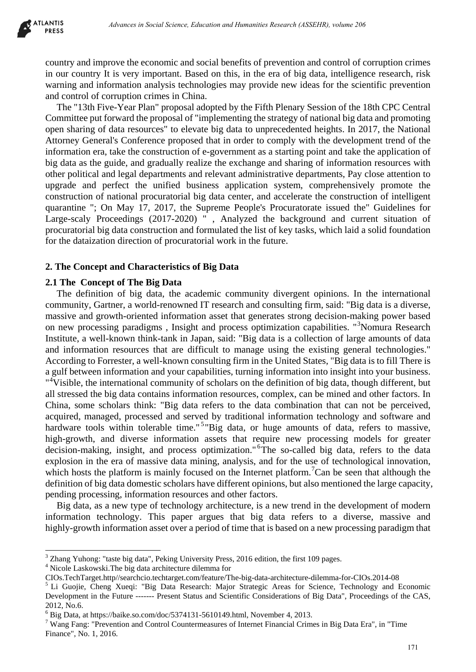country and improve the economic and social benefits of prevention and control of corruption crimes in our country It is very important. Based on this, in the era of big data, intelligence research, risk warning and information analysis technologies may provide new ideas for the scientific prevention and control of corruption crimes in China.

The "13th Five-Year Plan" proposal adopted by the Fifth Plenary Session of the 18th CPC Central Committee put forward the proposal of "implementing the strategy of national big data and promoting open sharing of data resources" to elevate big data to unprecedented heights. In 2017, the National Attorney General's Conference proposed that in order to comply with the development trend of the information era, take the construction of e-government as a starting point and take the application of big data as the guide, and gradually realize the exchange and sharing of information resources with other political and legal departments and relevant administrative departments, Pay close attention to upgrade and perfect the unified business application system, comprehensively promote the construction of national procuratorial big data center, and accelerate the construction of intelligent quarantine "; On May 17, 2017, the Supreme People's Procuratorate issued the" Guidelines for Large-scaly Proceedings (2017-2020) " , Analyzed the background and current situation of procuratorial big data construction and formulated the list of key tasks, which laid a solid foundation for the dataization direction of procuratorial work in the future.

### **2. The Concept and Characteristics of Big Data**

#### **2.1 The Concept of The Big Data**

The definition of big data, the academic community divergent opinions. In the international community, Gartner, a world-renowned IT research and consulting firm, said: "Big data is a diverse, massive and growth-oriented information asset that generates strong decision-making power based on new processing paradigms, Insight and process optimization capabilities. "<sup>[3](#page-1-0)</sup>Nomura Research Institute, a well-known think-tank in Japan, said: "Big data is a collection of large amounts of data and information resources that are difficult to manage using the existing general technologies." According to Forrester, a well-known consulting firm in the United States, "Big data is to fill There is a gulf between information and your capabilities, turning information into insight into your business. "<sup>[4](#page-1-1)</sup>Visible, the international community of scholars on the definition of big data, though different, but all stressed the big data contains information resources, complex, can be mined and other factors. In China, some scholars think: "Big data refers to the data combination that can not be perceived, acquired, managed, processed and served by traditional information technology and software and hardware tools within tolerable time."<sup>[5](#page-1-2)</sup>"Big data, or huge amounts of data, refers to massive, high-growth, and diverse information assets that require new processing models for greater decision-making, insight, and process optimization."<sup>[6](#page-1-3)</sup>The so-called big data, refers to the data explosion in the era of massive data mining, analysis, and for the use of technological innovation, which hosts the platform is mainly focused on the Internet platform.<sup>[7](#page-1-4)</sup>Can be seen that although the definition of big data domestic scholars have different opinions, but also mentioned the large capacity, pending processing, information resources and other factors. *Advances in Social Xiens, Education and Humanities Research (ASSEHR), where 266*<br>
The is very important. Based on this, in the can of big data, instilligence research.<br>
The is very important Research (this in the constrai

Big data, as a new type of technology architecture, is a new trend in the development of modern information technology. This paper argues that big data refers to a diverse, massive and highly-growth information asset over a period of time that is based on a new processing paradigm that

 $\overline{a}$ 

<span id="page-1-0"></span><sup>&</sup>lt;sup>3</sup> Zhang Yuhong: "taste big data", Peking University Press, 2016 edition, the first 109 pages.

<span id="page-1-1"></span><sup>&</sup>lt;sup>4</sup> Nicole Laskowski. The big data architecture dilemma for<br>CIOs. TechTarget.http//searchcio.techtarget.com/feature/The-big-data-architecture-dilemma-for-CIOs.2014-08

<span id="page-1-2"></span><sup>&</sup>lt;sup>5</sup> Li Guojie, Cheng Xueqi: "Big-Data-Research: Major Strategic Areas for Science, Technology and Economic Development in the Future ------- Present Status and Scientific Considerations of Big Data", Proceedings of the CAS, 2012, No.6.<br><sup>6</sup> Big Data, at https://baike.so.com/doc/5374131-5610149.html, November 4, 2013.

<span id="page-1-3"></span>

<span id="page-1-4"></span><sup>&</sup>lt;sup>7</sup> Wang Fang: "Prevention and Control Countermeasures of Internet Financial Crimes in Big Data Era", in "Time Finance", No. 1, 2016.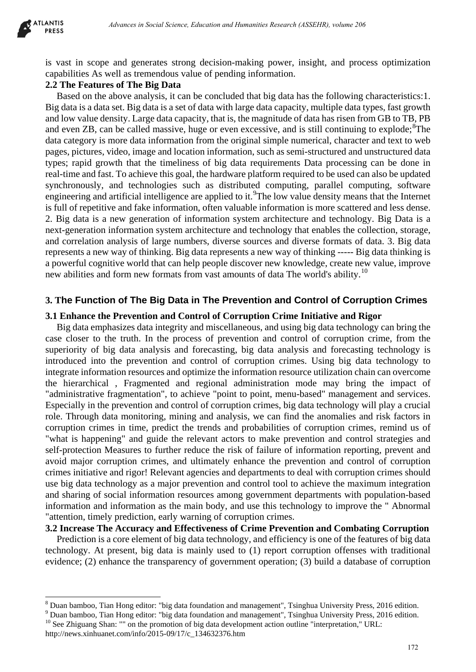

 $\overline{a}$ 

is vast in scope and generates strong decision-making power, insight, and process optimization capabilities As well as tremendous value of pending information.

# **2.2 The Features of The Big Data**

Based on the above analysis, it can be concluded that big data has the following characteristics:1. Big data is a data set. Big data is a set of data with large data capacity, multiple data types, fast growth and low value density. Large data capacity, that is, the magnitude of data has risen from GB to TB, PB and even ZB, can be called massive, huge or even excessive, and is still continuing to explode;<sup>[8](#page-2-0)</sup>The data category is more data information from the original simple numerical, character and text to web pages, pictures, video, image and location information, such as semi-structured and unstructured data types; rapid growth that the timeliness of big data requirements Data processing can be done in real-time and fast. To achieve this goal, the hardware platform required to be used can also be updated synchronously, and technologies such as distributed computing, parallel computing, software engineering and artificial intelligence are applied to it.<sup>[9](#page-2-1)</sup>The low value density means that the Internet is full of repetitive and fake information, often valuable information is more scattered and less dense. 2. Big data is a new generation of information system architecture and technology. Big Data is a next-generation information system architecture and technology that enables the collection, storage, and correlation analysis of large numbers, diverse sources and diverse formats of data. 3. Big data represents a new way of thinking. Big data represents a new way of thinking ----- Big data thinking is a powerful cognitive world that can help people discover new knowledge, create new value, improve new abilities and form new formats from vast amounts of data The world's ability.<sup>[10](#page-2-2)</sup>

# **3. The Function of The Big Data in The Prevention and Control of Corruption Crimes**

## **3.1 Enhance the Prevention and Control of Corruption Crime Initiative and Rigor**

Big data emphasizes data integrity and miscellaneous, and using big data technology can bring the case closer to the truth. In the process of prevention and control of corruption crime, from the superiority of big data analysis and forecasting, big data analysis and forecasting technology is introduced into the prevention and control of corruption crimes. Using big data technology to integrate information resources and optimize the information resource utilization chain can overcome the hierarchical , Fragmented and regional administration mode may bring the impact of "administrative fragmentation", to achieve "point to point, menu-based" management and services. Especially in the prevention and control of corruption crimes, big data technology will play a crucial role. Through data monitoring, mining and analysis, we can find the anomalies and risk factors in corruption crimes in time, predict the trends and probabilities of corruption crimes, remind us of "what is happening" and guide the relevant actors to make prevention and control strategies and self-protection Measures to further reduce the risk of failure of information reporting, prevent and avoid major corruption crimes, and ultimately enhance the prevention and control of corruption crimes initiative and rigor! Relevant agencies and departments to deal with corruption crimes should use big data technology as a major prevention and control tool to achieve the maximum integration and sharing of social information resources among government departments with population-based information and information as the main body, and use this technology to improve the " Abnormal "attention, timely prediction, early warning of corruption crimes. *Advances in Social Science, Education and Humanities Research (ASSEHR), where 266</sub><br>
and generates strong decision-making power, insight, and process optimizes<br>
and generates strong decision-making power, insight, and proc* 

**3.2 Increase The Accuracy and Effectiveness of Crime Prevention and Combating Corruption**

Prediction is a core element of big data technology, and efficiency is one of the features of big data technology. At present, big data is mainly used to (1) report corruption offenses with traditional evidence; (2) enhance the transparency of government operation; (3) build a database of corruption

<span id="page-2-0"></span> $8$  Duan bamboo, Tian Hong editor: "big data foundation and management", Tsinghua University Press, 2016 edition.

<span id="page-2-2"></span><span id="page-2-1"></span><sup>9</sup> Duan bamboo, Tian Hong editor: "big data foundation and management", Tsinghua University Press, 2016 edition. <sup>10</sup> See Zhiguang Shan: "" on the promotion of big data development action outline "interpretation," URL: http://news.xinhuanet.com/info/2015-09/17/c\_134632376.htm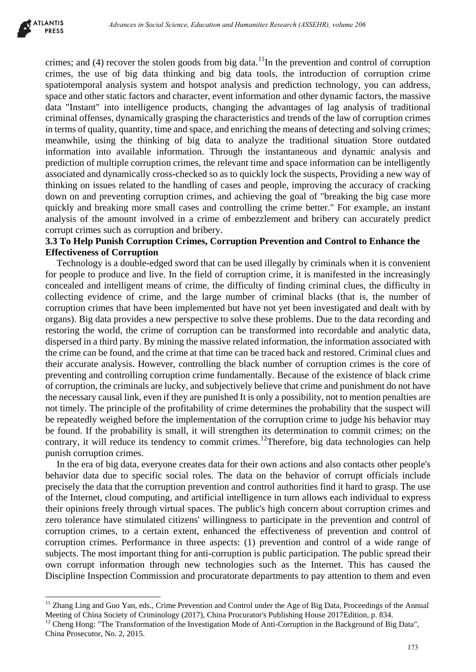

 $\overline{a}$ 

crimes; and  $(4)$  recover the stolen goods from big data.<sup>[11](#page-3-0)</sup>In the prevention and control of corruption crimes, the use of big data thinking and big data tools, the introduction of corruption crime spatiotemporal analysis system and hotspot analysis and prediction technology, you can address, space and other static factors and character, event information and other dynamic factors, the massive data "Instant" into intelligence products, changing the advantages of lag analysis of traditional criminal offenses, dynamically grasping the characteristics and trends of the law of corruption crimes in terms of quality, quantity, time and space, and enriching the means of detecting and solving crimes; meanwhile, using the thinking of big data to analyze the traditional situation Store outdated information into available information. Through the instantaneous and dynamic analysis and prediction of multiple corruption crimes, the relevant time and space information can be intelligently associated and dynamically cross-checked so as to quickly lock the suspects, Providing a new way of thinking on issues related to the handling of cases and people, improving the accuracy of cracking down on and preventing corruption crimes, and achieving the goal of "breaking the big case more quickly and breaking more small cases and controlling the crime better." For example, an instant analysis of the amount involved in a crime of embezzlement and bribery can accurately predict corrupt crimes such as corruption and bribery.

# **3.3 To Help Punish Corruption Crimes, Corruption Prevention and Control to Enhance the Effectiveness of Corruption**

Technology is a double-edged sword that can be used illegally by criminals when it is convenient for people to produce and live. In the field of corruption crime, it is manifested in the increasingly concealed and intelligent means of crime, the difficulty of finding criminal clues, the difficulty in collecting evidence of crime, and the large number of criminal blacks (that is, the number of corruption crimes that have been implemented but have not yet been investigated and dealt with by organs). Big data provides a new perspective to solve these problems. Due to the data recording and restoring the world, the crime of corruption can be transformed into recordable and analytic data, dispersed in a third party. By mining the massive related information, the information associated with the crime can be found, and the crime at that time can be traced back and restored. Criminal clues and their accurate analysis. However, controlling the black number of corruption crimes is the core of preventing and controlling corruption crime fundamentally. Because of the existence of black crime of corruption, the criminals are lucky, and subjectively believe that crime and punishment do not have the necessary causal link, even if they are punished It is only a possibility, not to mention penalties are not timely. The principle of the profitability of crime determines the probability that the suspect will be repeatedly weighed before the implementation of the corruption crime to judge his behavior may be found. If the probability is small, it will strengthen its determination to commit crimes; on the contrary, it will reduce its tendency to commit crimes.<sup>[12](#page-3-1)</sup>Therefore, big data technologies can help punish corruption crimes. *Advances in Social Science, Education in Humanities Research (ASSEHR), wolume 206*<br>
excert the stolen gonds from hig data. <sup>1</sup>In the prevention and corntrol of energy of the proposition and horizon and horizon and horizon

In the era of big data, everyone creates data for their own actions and also contacts other people's behavior data due to specific social roles. The data on the behavior of corrupt officials include precisely the data that the corruption prevention and control authorities find it hard to grasp. The use of the Internet, cloud computing, and artificial intelligence in turn allows each individual to express their opinions freely through virtual spaces. The public's high concern about corruption crimes and zero tolerance have stimulated citizens' willingness to participate in the prevention and control of corruption crimes, to a certain extent, enhanced the effectiveness of prevention and control of corruption crimes. Performance in three aspects: (1) prevention and control of a wide range of subjects. The most important thing for anti-corruption is public participation. The public spread their own corrupt information through new technologies such as the Internet. This has caused the Discipline Inspection Commission and procuratorate departments to pay attention to them and even

<span id="page-3-0"></span><sup>&</sup>lt;sup>11</sup> Zhang Ling and Guo Yan, eds., Crime Prevention and Control under the Age of Big Data, Proceedings of the Annual Meeting of China Society of Criminology (2017), China Procurator's Publishing House 2017Edition, p. 834.<br><sup>12</sup> Cheng Hong: "The Transformation of the Investigation Mode of Anti-Corruption in the Background of Big Data",

<span id="page-3-1"></span>China Prosecutor, No. 2, 2015.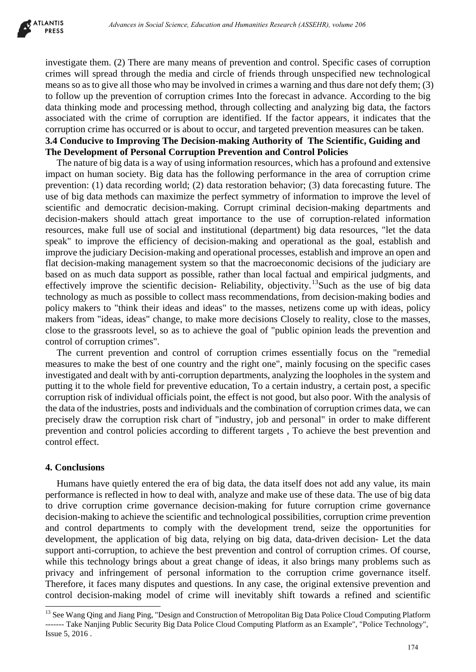

investigate them. (2) There are many means of prevention and control. Specific cases of corruption crimes will spread through the media and circle of friends through unspecified new technological means so as to give all those who may be involved in crimes a warning and thus dare not defy them; (3) to follow up the prevention of corruption crimes Into the forecast in advance. According to the big data thinking mode and processing method, through collecting and analyzing big data, the factors associated with the crime of corruption are identified. If the factor appears, it indicates that the corruption crime has occurred or is about to occur, and targeted prevention measures can be taken. **3.4 Conducive to Improving The Decision-making Authority of The Scientific, Guiding and The Development of Personal Corruption Prevention and Control Policies**

The nature of big data is a way of using information resources, which has a profound and extensive impact on human society. Big data has the following performance in the area of corruption crime prevention: (1) data recording world; (2) data restoration behavior; (3) data forecasting future. The use of big data methods can maximize the perfect symmetry of information to improve the level of scientific and democratic decision-making. Corrupt criminal decision-making departments and decision-makers should attach great importance to the use of corruption-related information resources, make full use of social and institutional (department) big data resources, "let the data speak" to improve the efficiency of decision-making and operational as the goal, establish and improve the judiciary Decision-making and operational processes, establish and improve an open and flat decision-making management system so that the macroeconomic decisions of the judiciary are based on as much data support as possible, rather than local factual and empirical judgments, and effectively improve the scientific decision- Reliability, objectivity.<sup>[13](#page-4-0)</sup>Such as the use of big data technology as much as possible to collect mass recommendations, from decision-making bodies and policy makers to "think their ideas and ideas" to the masses, netizens come up with ideas, policy makers from "ideas, ideas" change, to make more decisions Closely to reality, close to the masses, close to the grassroots level, so as to achieve the goal of "public opinion leads the prevention and control of corruption crimes". *Advances in Social Science, Education and Themaining Beneral d238EHR), where 266<br>
(2) There are many means of prevention and control. Specific eases of corruption<br>
(2) There are many means of prevention and control. Speci* 

The current prevention and control of corruption crimes essentially focus on the "remedial measures to make the best of one country and the right one", mainly focusing on the specific cases investigated and dealt with by anti-corruption departments, analyzing the loopholes in the system and putting it to the whole field for preventive education, To a certain industry, a certain post, a specific corruption risk of individual officials point, the effect is not good, but also poor. With the analysis of the data of the industries, posts and individuals and the combination of corruption crimes data, we can precisely draw the corruption risk chart of "industry, job and personal" in order to make different prevention and control policies according to different targets , To achieve the best prevention and control effect.

#### **4. Conclusions**

 $\overline{a}$ 

Humans have quietly entered the era of big data, the data itself does not add any value, its main performance is reflected in how to deal with, analyze and make use of these data. The use of big data to drive corruption crime governance decision-making for future corruption crime governance decision-making to achieve the scientific and technological possibilities, corruption crime prevention and control departments to comply with the development trend, seize the opportunities for development, the application of big data, relying on big data, data-driven decision- Let the data support anti-corruption, to achieve the best prevention and control of corruption crimes. Of course, while this technology brings about a great change of ideas, it also brings many problems such as privacy and infringement of personal information to the corruption crime governance itself. Therefore, it faces many disputes and questions. In any case, the original extensive prevention and control decision-making model of crime will inevitably shift towards a refined and scientific

<span id="page-4-0"></span><sup>&</sup>lt;sup>13</sup> See Wang Qing and Jiang Ping, "Design and Construction of Metropolitan Big Data Police Cloud Computing Platform ------- Take Nanjing Public Security Big Data Police Cloud Computing Platform as an Example", "Police Technology", Issue 5, 2016 .